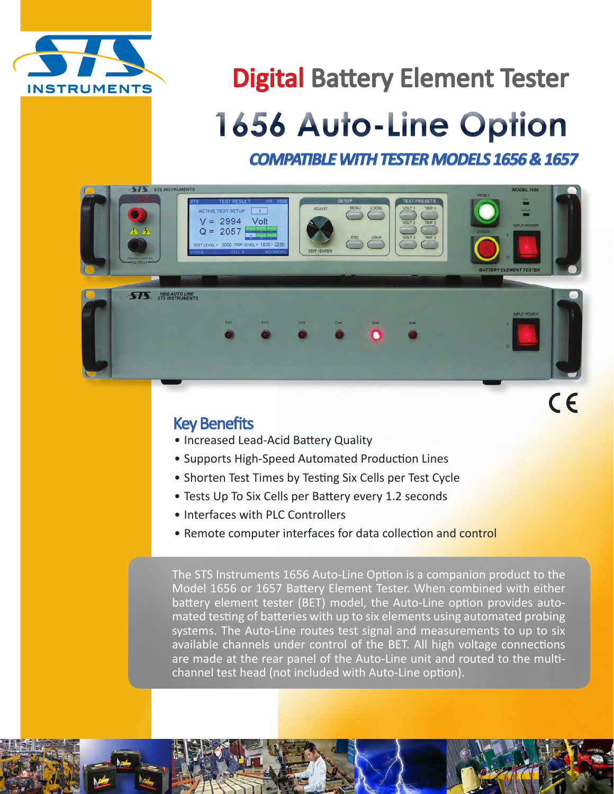

## Digital Battery Element Tester

# **1656 Auto-Line Option**

*COMPATIBLE WITH TESTER MODELS 1656 & 1657*



#### Key Benefits

- Increased Lead-Acid Battery Quality
- Supports High-Speed Automated Production Lines
- Shorten Test Times by Testing Six Cells per Test Cycle
- Tests Up To Six Cells per Battery every 1.2 seconds
- Interfaces with PLC Controllers
- Remote computer interfaces for data collection and control

The STS Instruments 1656 Auto-Line Option is a companion product to the Model 1656 or 1657 Battery Element Tester. When combined with either battery element tester (BET) model, the Auto-Line option provides automated testing of batteries with up to six elements using automated probing systems. The Auto-Line routes test signal and measurements to up to six available channels under control of the BET. All high voltage connections are made at the rear panel of the Auto-Line unit and routed to the multichannel test head (not included with Auto-Line option).